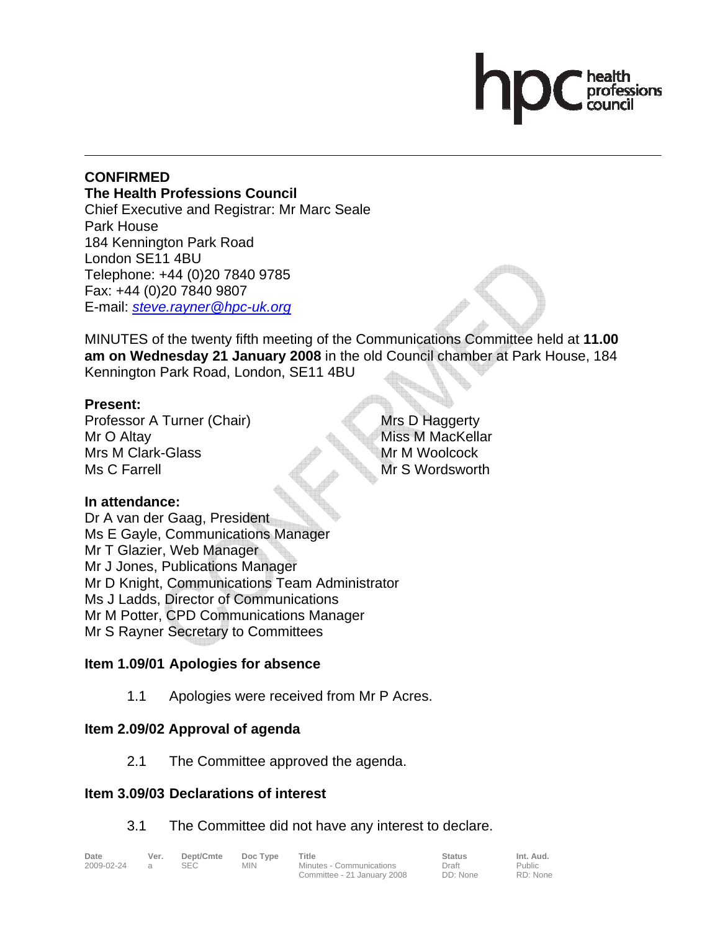# **CONFIRMED The Health Professions Council**

Chief Executive and Registrar: Mr Marc Seale Park House 184 Kennington Park Road London SE11 4BU Telephone: +44 (0)20 7840 9785 Fax: +44 (0)20 7840 9807 E-mail: *steve.rayner@hpc-uk.org*

MINUTES of the twenty fifth meeting of the Communications Committee held at **11.00 am on Wednesday 21 January 2008** in the old Council chamber at Park House, 184 Kennington Park Road, London, SE11 4BU

# **Present:**

Professor A Turner (Chair) Mr O Altay Mrs M Clark-Glass Ms C Farrell

Mrs D Haggerty Miss M MacKellar Mr M Woolcock Mr S Wordsworth

> Public RD: None

# **In attendance:**

Dr A van der Gaag, President Ms E Gayle, Communications Manager Mr T Glazier, Web Manager Mr J Jones, Publications Manager Mr D Knight, Communications Team Administrator Ms J Ladds, Director of Communications Mr M Potter, CPD Communications Manager Mr S Rayner Secretary to Committees

# **Item 1.09/01 Apologies for absence**

1.1 Apologies were received from Mr P Acres.

# **Item 2.09/02 Approval of agenda**

2.1 The Committee approved the agenda.

# **Item 3.09/03 Declarations of interest**

# 3.1 The Committee did not have any interest to declare.

| Date       | Ver. | Dept/Cmte | Doc Type | Title                       | <b>Status</b> | Int. Aud.     |
|------------|------|-----------|----------|-----------------------------|---------------|---------------|
| 2009-02-24 |      |           | MIN      | Minutes - Communications    | Draft         | <b>Public</b> |
|            |      |           |          | Committee - 21 January 2008 | DD: None      | RD: None      |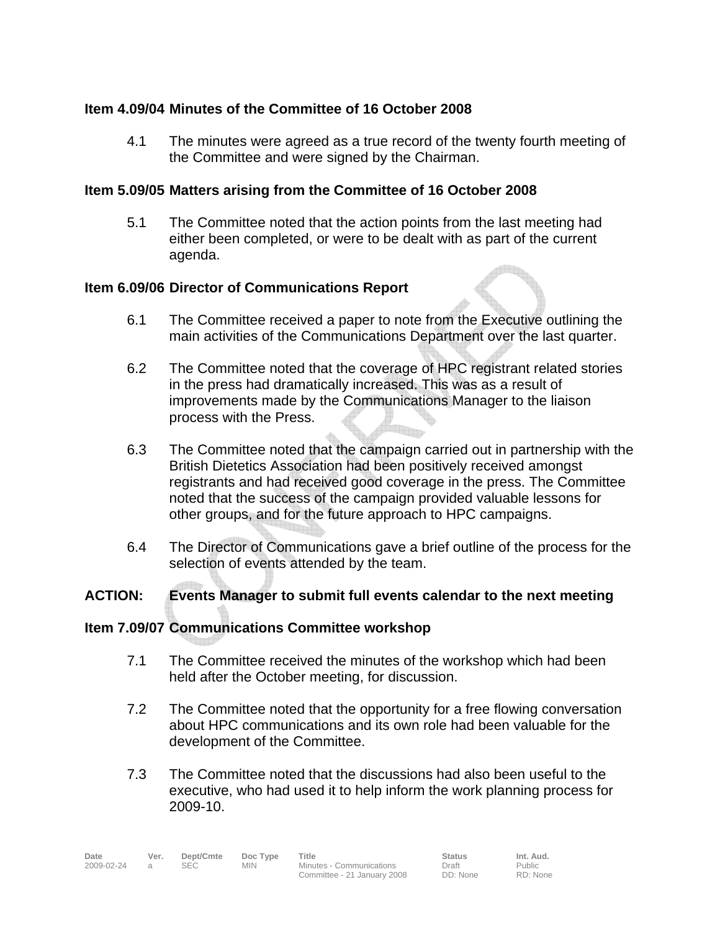# **Item 4.09/04 Minutes of the Committee of 16 October 2008**

4.1 The minutes were agreed as a true record of the twenty fourth meeting of the Committee and were signed by the Chairman.

### **Item 5.09/05 Matters arising from the Committee of 16 October 2008**

5.1 The Committee noted that the action points from the last meeting had either been completed, or were to be dealt with as part of the current agenda.

#### **Item 6.09/06 Director of Communications Report**

- 6.1 The Committee received a paper to note from the Executive outlining the main activities of the Communications Department over the last quarter.
- 6.2 The Committee noted that the coverage of HPC registrant related stories in the press had dramatically increased. This was as a result of improvements made by the Communications Manager to the liaison process with the Press.
- 6.3 The Committee noted that the campaign carried out in partnership with the British Dietetics Association had been positively received amongst registrants and had received good coverage in the press. The Committee noted that the success of the campaign provided valuable lessons for other groups, and for the future approach to HPC campaigns.
- 6.4 The Director of Communications gave a brief outline of the process for the selection of events attended by the team.

# **ACTION: Events Manager to submit full events calendar to the next meeting**

#### **Item 7.09/07 Communications Committee workshop**

- 7.1 The Committee received the minutes of the workshop which had been held after the October meeting, for discussion.
- 7.2 The Committee noted that the opportunity for a free flowing conversation about HPC communications and its own role had been valuable for the development of the Committee.
- 7.3 The Committee noted that the discussions had also been useful to the executive, who had used it to help inform the work planning process for 2009-10.

Public RD: None

| Date       | Ver. | Dept/Cmte | Doc Type   | Title                       | <b>Status</b> | Int. Aud.     |
|------------|------|-----------|------------|-----------------------------|---------------|---------------|
| 2009-02-24 |      |           | <b>MIN</b> | Minutes - Communications    | Draft         | <b>Public</b> |
|            |      |           |            | Committee - 21 January 2008 | DD: None      | RD: None      |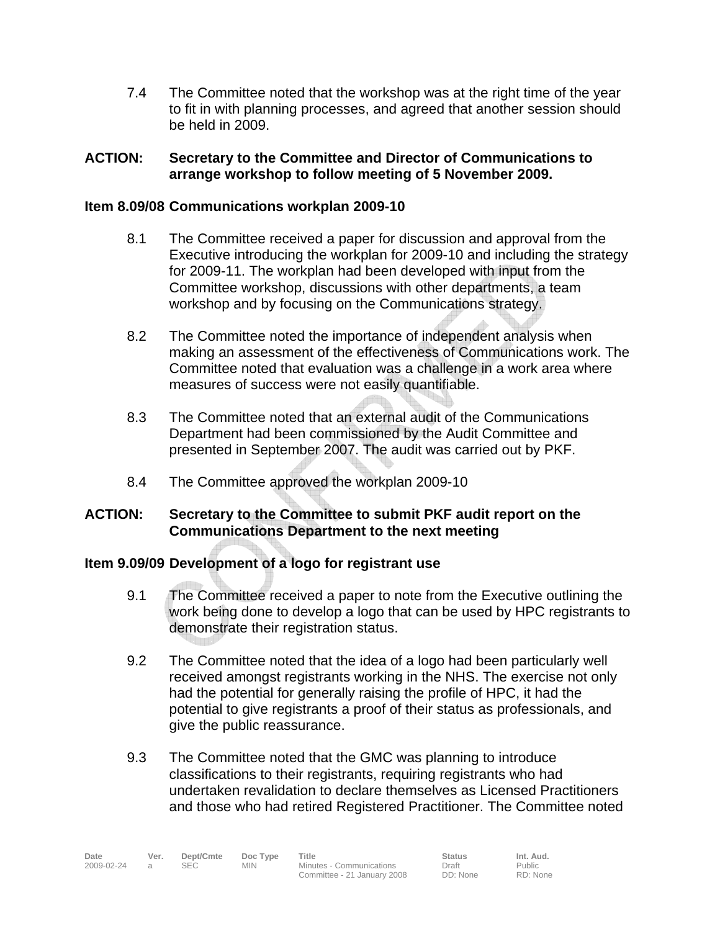7.4 The Committee noted that the workshop was at the right time of the year to fit in with planning processes, and agreed that another session should be held in 2009.

# **ACTION: Secretary to the Committee and Director of Communications to arrange workshop to follow meeting of 5 November 2009.**

# **Item 8.09/08 Communications workplan 2009-10**

- 8.1 The Committee received a paper for discussion and approval from the Executive introducing the workplan for 2009-10 and including the strategy for 2009-11. The workplan had been developed with input from the Committee workshop, discussions with other departments, a team workshop and by focusing on the Communications strategy.
- 8.2 The Committee noted the importance of independent analysis when making an assessment of the effectiveness of Communications work. The Committee noted that evaluation was a challenge in a work area where measures of success were not easily quantifiable.
- 8.3 The Committee noted that an external audit of the Communications Department had been commissioned by the Audit Committee and presented in September 2007. The audit was carried out by PKF.
- 8.4 The Committee approved the workplan 2009-10

# **ACTION: Secretary to the Committee to submit PKF audit report on the Communications Department to the next meeting**

# **Item 9.09/09 Development of a logo for registrant use**

- 9.1 The Committee received a paper to note from the Executive outlining the work being done to develop a logo that can be used by HPC registrants to demonstrate their registration status.
- 9.2 The Committee noted that the idea of a logo had been particularly well received amongst registrants working in the NHS. The exercise not only had the potential for generally raising the profile of HPC, it had the potential to give registrants a proof of their status as professionals, and give the public reassurance.
- 9.3 The Committee noted that the GMC was planning to introduce classifications to their registrants, requiring registrants who had undertaken revalidation to declare themselves as Licensed Practitioners and those who had retired Registered Practitioner. The Committee noted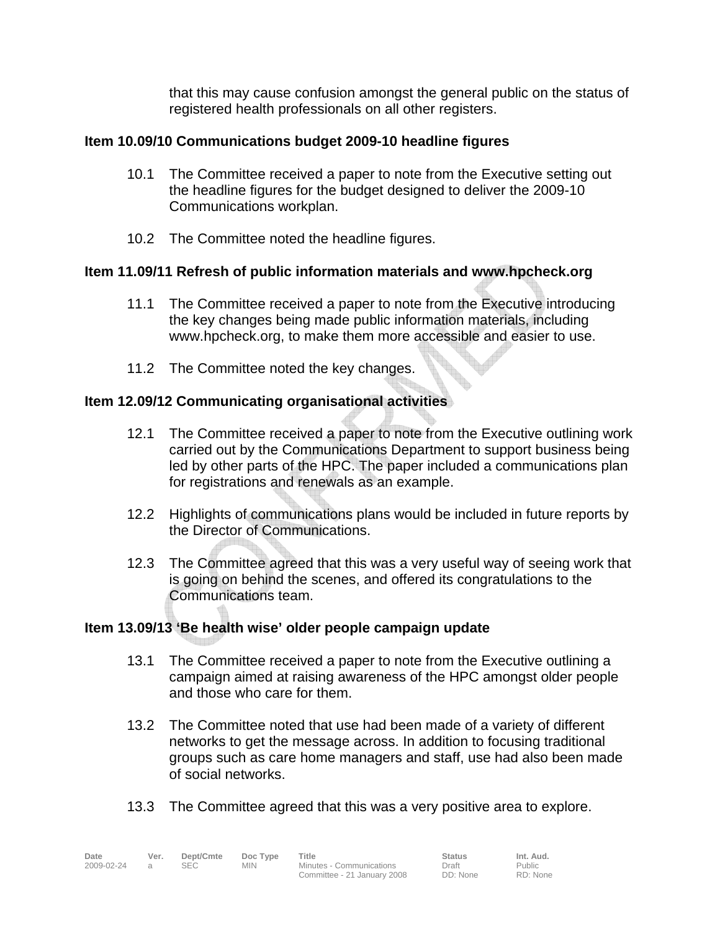that this may cause confusion amongst the general public on the status of registered health professionals on all other registers.

# **Item 10.09/10 Communications budget 2009-10 headline figures**

- 10.1 The Committee received a paper to note from the Executive setting out the headline figures for the budget designed to deliver the 2009-10 Communications workplan.
- 10.2 The Committee noted the headline figures.

# **Item 11.09/11 Refresh of public information materials and www.hpcheck.org**

- 11.1 The Committee received a paper to note from the Executive introducing the key changes being made public information materials, including www.hpcheck.org, to make them more accessible and easier to use.
- 11.2 The Committee noted the key changes.

# **Contract Contract Contract Contract Contract Contract Contract Contract Contract Contract Contract Contract C Item 12.09/12 Communicating organisational activities**

- 12.1 The Committee received a paper to note from the Executive outlining work carried out by the Communications Department to support business being led by other parts of the HPC. The paper included a communications plan for registrations and renewals as an example.
- 12.2 Highlights of communications plans would be included in future reports by the Director of Communications.
- 12.3 The Committee agreed that this was a very useful way of seeing work that is going on behind the scenes, and offered its congratulations to the Communications team.

# **Item 13.09/13 'Be health wise' older people campaign update**

- 13.1 The Committee received a paper to note from the Executive outlining a campaign aimed at raising awareness of the HPC amongst older people and those who care for them.
- 13.2 The Committee noted that use had been made of a variety of different networks to get the message across. In addition to focusing traditional groups such as care home managers and staff, use had also been made of social networks.
- 13.3 The Committee agreed that this was a very positive area to explore.

| Date       | Ver.     | Dept/Cmte  | Doc Type   | Title                       | <b>Status</b> | Int. Aud.     |  |
|------------|----------|------------|------------|-----------------------------|---------------|---------------|--|
| 2009-02-24 | $\alpha$ | <b>SEC</b> | <b>MIN</b> | Minutes - Communications    | Draft         | <b>Public</b> |  |
|            |          |            |            | Committee - 21 January 2008 | DD: None      | RD: None      |  |